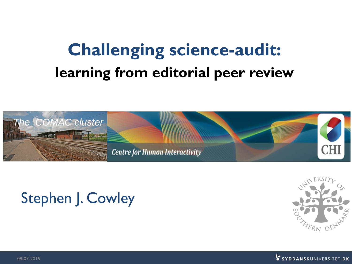## **Challenging science-audit: learning from editorial peer review**



#### Stephen J. Cowley





08-07-2015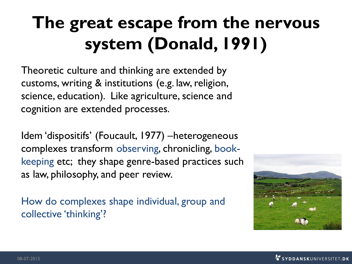# **The great escape from the nervous system (Donald, 1991)**

Theoretic culture and thinking are extended by customs, writing & institutions (e.g. law, religion, science, education). Like agriculture, science and cognition are extended processes.

Idem 'dispositifs' (Foucault, 1977) –heterogeneous complexes transform observing, chronicling, bookkeeping etc; they shape genre-based practices such as law, philosophy, and peer review.

How do complexes shape individual, group and collective 'thinking'?

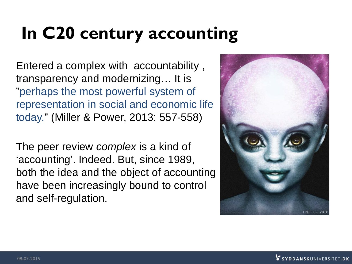# **In C20 century accounting**

Entered a complex with accountability , transparency and modernizing… It is "perhaps the most powerful system of representation in social and economic life today." (Miller & Power, 2013: 557-558)

The peer review *complex* is a kind of 'accounting'. Indeed. But, since 1989, both the idea and the object of accounting have been increasingly bound to control and self-regulation.

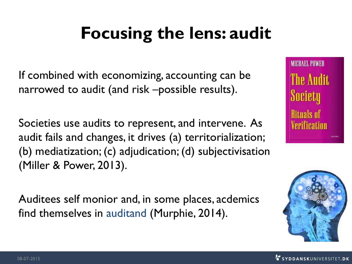# **Focusing the lens: audit**

If combined with economizing, accounting can be narrowed to audit (and risk –possible results).

Societies use audits to represent, and intervene. As audit fails and changes, it drives (a) territorialization; (b) mediatization; (c) adjudication; (d) subjectivisation (Miller & Power, 2013).

Auditees self monior and, in some places, acdemics find themselves in auditand (Murphie, 2014).



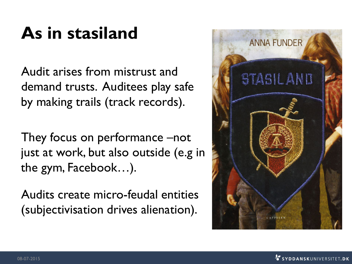## **As in stasiland**

Audit arises from mistrust and demand trusts. Auditees play safe by making trails (track records).

They focus on performance –not just at work, but also outside (e.g in the gym, Facebook…).

Audits create micro-feudal entities (subjectivisation drives alienation).

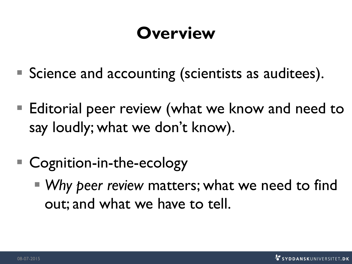## **Overview**

- Science and accounting (scientists as auditees).
- Editorial peer review (what we know and need to say loudly; what we don't know).
- Cognition-in-the-ecology
	- *Why peer review* matters; what we need to find out; and what we have to tell.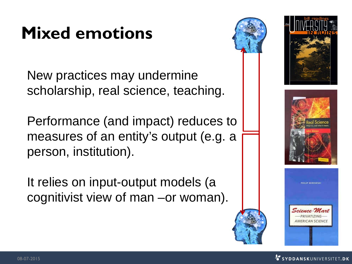# **Mixed emotions**

New practices may undermine scholarship, real science, teaching.

Performance (and impact) reduces to measures of an entity's output (e.g. a person, institution).

It relies on input-output models (a cognitivist view of man –or woman).







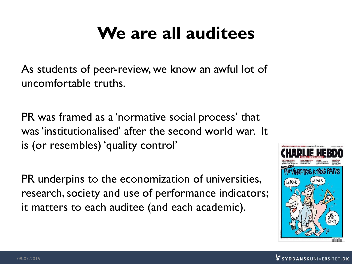## **We are all auditees**

As students of peer-review, we know an awful lot of uncomfortable truths.

PR was framed as a 'normative social process' that was'institutionalised' after the second world war. It is (or resembles) 'quality control'

PR underpins to the economization of universities, research, society and use of performance indicators; it matters to each auditee (and each academic).

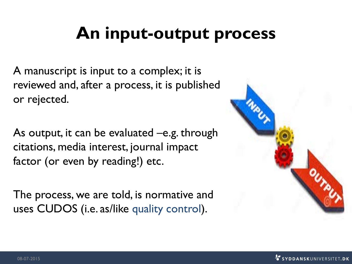### **An input-output process**

A manuscript is input to a complex; it is reviewed and, after a process, it is published or rejected.

As output, it can be evaluated –e.g. through citations, media interest, journal impact factor (or even by reading!) etc.

The process, we are told, is normative and uses CUDOS (i.e. as/like quality control).

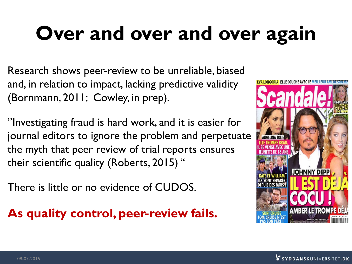# **Over and over and over again**

Research shows peer-review to be unreliable, biased and, in relation to impact, lacking predictive validity (Bornmann, 2011; Cowley, in prep).

"Investigating fraud is hard work, and it is easier for journal editors to ignore the problem and perpetuate the myth that peer review of trial reports ensures their scientific quality (Roberts, 2015) "

There is little or no evidence of CUDOS.

**As quality control, peer-review fails.** 

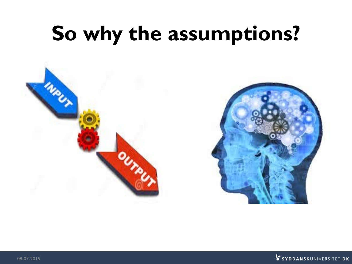# **So why the assumptions?**



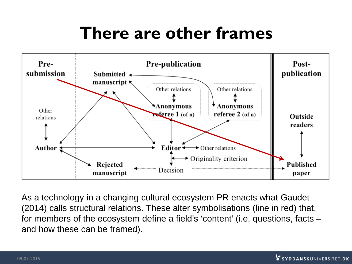### **There are other frames**



As a technology in a changing cultural ecosystem PR enacts what Gaudet (2014) calls structural relations. These alter symbolisations (line in red) that, for members of the ecosystem define a field's 'content' (i.e. questions, facts – and how these can be framed).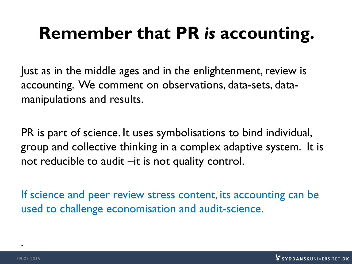### **Remember that PR** *is* **accounting.**

Just as in the middle ages and in the enlightenment, review is accounting. We comment on observations, data-sets, datamanipulations and results.

PR is part of science. It uses symbolisations to bind individual, group and collective thinking in a complex adaptive system. It is not reducible to audit –it is not quality control.

If science and peer review stress content, its accounting can be used to challenge economisation and audit-science.

.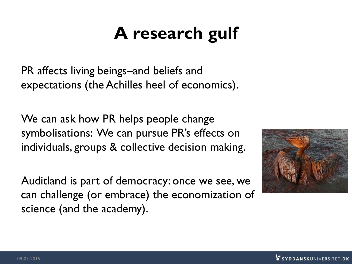## **A research gulf**

PR affects living beings–and beliefs and expectations (the Achilles heel of economics).

We can ask how PR helps people change symbolisations: We can pursue PR's effects on individuals, groups & collective decision making.

Auditland is part of democracy: once we see, we can challenge (or embrace) the economization of science (and the academy).

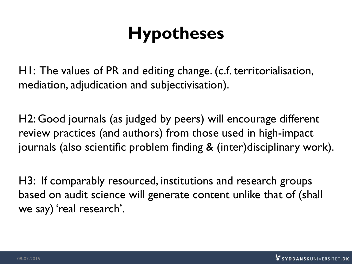## **Hypotheses**

H1: The values of PR and editing change. (c.f. territorialisation, mediation, adjudication and subjectivisation).

H2: Good journals (as judged by peers) will encourage different review practices (and authors) from those used in high-impact journals (also scientific problem finding & (inter)disciplinary work).

H3: If comparably resourced, institutions and research groups based on audit science will generate content unlike that of (shall we say) 'real research'.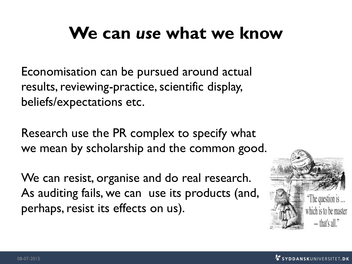### **We can** *use* **what we know**

Economisation can be pursued around actual results, reviewing-practice, scientific display, beliefs/expectations etc.

Research use the PR complex to specify what we mean by scholarship and the common good.

We can resist, organise and do real research. As auditing fails, we can use its products (and, perhaps, resist its effects on us).

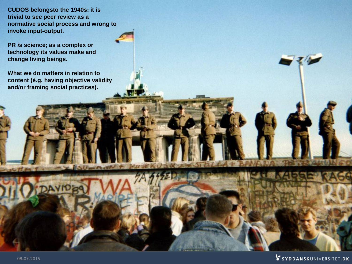**CUDOS belongsto the 1940s: it is trivial to see peer review as a [normative social process](http://www.google.dk/url?sa=i&rct=j&q=&esrc=s&source=images&cd=&cad=rja&uact=8&ved=0CAcQjRxqFQoTCKqci8GUjMYCFaoW2wodVqAAbA&url=http://www.independent.co.uk/news/world/world-history/fall-of-the-berlin-wall-history-catches-up-with-erich-honecker--the-east-german-leader-who-praised-the-iron-curtain-and-claimed-it-prevented-a-third-world-war-9826715.html&ei=eN17VaqAKqqt7AbWwILgBg&bvm=bv.95515949,d.ZGU&psig=AFQjCNEX3m2Yy9YwmDbjj3cOly8c3f-VWg&ust=1434267365988497) and wrong to invoke input-output.**

**PR** *is* **science; as a complex or technology its values make and change living beings.**

**What we do matters in relation to content (é.g. having objective validity and/or framing social practices).** 

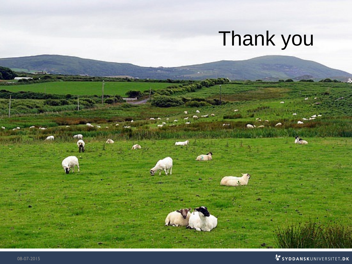# [Thank](http://www.google.dk/url?sa=i&rct=j&q=&esrc=s&source=images&cd=&cad=rja&uact=8&ved=0CAcQjRxqFQoTCOar55WfjMYCFYqa2wodTyoA0A&url=http://ravepad.com/page/kerri-green/images/view/418358/Gorgeous-fluffy-white-sheep-in-green-fields&ei=puh7VebAK4q17gbP1ICADQ&bvm=bv.95515949,d.ZGU&psig=AFQjCNFYUptSTQkj4Y8ZSVxsiTgjrBmFKg&ust=1434270226007788) you